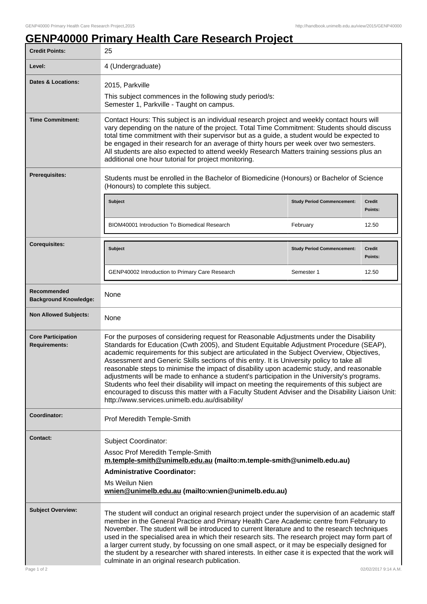## **GENP40000 Primary Health Care Research Project**

| <b>Credit Points:</b>                             | 25                                                                                                                                                                                                                                                                                                                                                                                                                                                                                                                                                                                                                                                                                                                                                                                                                                  |                                   |                          |
|---------------------------------------------------|-------------------------------------------------------------------------------------------------------------------------------------------------------------------------------------------------------------------------------------------------------------------------------------------------------------------------------------------------------------------------------------------------------------------------------------------------------------------------------------------------------------------------------------------------------------------------------------------------------------------------------------------------------------------------------------------------------------------------------------------------------------------------------------------------------------------------------------|-----------------------------------|--------------------------|
| Level:                                            | 4 (Undergraduate)                                                                                                                                                                                                                                                                                                                                                                                                                                                                                                                                                                                                                                                                                                                                                                                                                   |                                   |                          |
| <b>Dates &amp; Locations:</b>                     | 2015, Parkville                                                                                                                                                                                                                                                                                                                                                                                                                                                                                                                                                                                                                                                                                                                                                                                                                     |                                   |                          |
|                                                   | This subject commences in the following study period/s:<br>Semester 1, Parkville - Taught on campus.                                                                                                                                                                                                                                                                                                                                                                                                                                                                                                                                                                                                                                                                                                                                |                                   |                          |
| <b>Time Commitment:</b>                           | Contact Hours: This subject is an individual research project and weekly contact hours will<br>vary depending on the nature of the project. Total Time Commitment: Students should discuss<br>total time commitment with their supervisor but as a guide, a student would be expected to<br>be engaged in their research for an average of thirty hours per week over two semesters.<br>All students are also expected to attend weekly Research Matters training sessions plus an<br>additional one hour tutorial for project monitoring.                                                                                                                                                                                                                                                                                          |                                   |                          |
| <b>Prerequisites:</b>                             | Students must be enrolled in the Bachelor of Biomedicine (Honours) or Bachelor of Science<br>(Honours) to complete this subject.                                                                                                                                                                                                                                                                                                                                                                                                                                                                                                                                                                                                                                                                                                    |                                   |                          |
|                                                   | Subject                                                                                                                                                                                                                                                                                                                                                                                                                                                                                                                                                                                                                                                                                                                                                                                                                             | <b>Study Period Commencement:</b> | <b>Credit</b><br>Points: |
|                                                   | BIOM40001 Introduction To Biomedical Research                                                                                                                                                                                                                                                                                                                                                                                                                                                                                                                                                                                                                                                                                                                                                                                       | February                          | 12.50                    |
| <b>Corequisites:</b>                              | <b>Subject</b>                                                                                                                                                                                                                                                                                                                                                                                                                                                                                                                                                                                                                                                                                                                                                                                                                      | <b>Study Period Commencement:</b> | <b>Credit</b><br>Points: |
|                                                   | GENP40002 Introduction to Primary Care Research                                                                                                                                                                                                                                                                                                                                                                                                                                                                                                                                                                                                                                                                                                                                                                                     | Semester 1                        | 12.50                    |
| Recommended<br><b>Background Knowledge:</b>       | None                                                                                                                                                                                                                                                                                                                                                                                                                                                                                                                                                                                                                                                                                                                                                                                                                                |                                   |                          |
| <b>Non Allowed Subjects:</b>                      | None                                                                                                                                                                                                                                                                                                                                                                                                                                                                                                                                                                                                                                                                                                                                                                                                                                |                                   |                          |
| <b>Core Participation</b><br><b>Requirements:</b> | For the purposes of considering request for Reasonable Adjustments under the Disability<br>Standards for Education (Cwth 2005), and Student Equitable Adjustment Procedure (SEAP),<br>academic requirements for this subject are articulated in the Subject Overview, Objectives,<br>Assessment and Generic Skills sections of this entry. It is University policy to take all<br>reasonable steps to minimise the impact of disability upon academic study, and reasonable<br>adjustments will be made to enhance a student's participation in the University's programs.<br>Students who feel their disability will impact on meeting the requirements of this subject are<br>encouraged to discuss this matter with a Faculty Student Adviser and the Disability Liaison Unit:<br>http://www.services.unimelb.edu.au/disability/ |                                   |                          |
| Coordinator:                                      | Prof Meredith Temple-Smith                                                                                                                                                                                                                                                                                                                                                                                                                                                                                                                                                                                                                                                                                                                                                                                                          |                                   |                          |
| Contact:                                          | Subject Coordinator:<br>Assoc Prof Meredith Temple-Smith<br>m.temple-smith@unimelb.edu.au (mailto:m.temple-smith@unimelb.edu.au)<br><b>Administrative Coordinator:</b><br>Ms Weilun Nien<br>wnien@unimelb.edu.au (mailto:wnien@unimelb.edu.au)                                                                                                                                                                                                                                                                                                                                                                                                                                                                                                                                                                                      |                                   |                          |
| <b>Subject Overview:</b><br>Page 1 of 2           | The student will conduct an original research project under the supervision of an academic staff<br>member in the General Practice and Primary Health Care Academic centre from February to<br>November. The student will be introduced to current literature and to the research techniques<br>used in the specialised area in which their research sits. The research project may form part of<br>a larger current study, by focussing on one small aspect, or it may be especially designed for<br>the student by a researcher with shared interests. In either case it is expected that the work will<br>culminate in an original research publication.<br>02/02/2017 9:14 A.M.                                                                                                                                                 |                                   |                          |